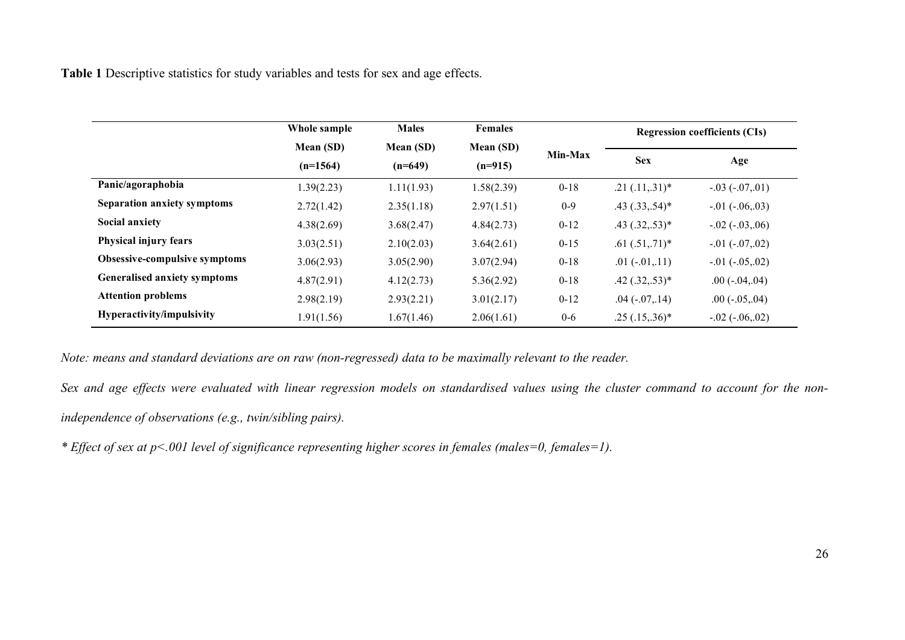**Table 1** Descriptive statistics for study variables and tests for sex and age effects.

|                                  | Whole sample | <b>Males</b>           | <b>Females</b> |          | <b>Regression coefficients (CIs)</b> |                       |  |
|----------------------------------|--------------|------------------------|----------------|----------|--------------------------------------|-----------------------|--|
|                                  | Mean (SD)    | Mean (SD)<br>Mean (SD) | Min-Max        |          |                                      |                       |  |
|                                  | $(n=1564)$   | $(n=649)$              | $(n=915)$      |          | <b>Sex</b>                           | Age                   |  |
| Panic/agoraphobia                | 1.39(2.23)   | 1.11(1.93)             | 1.58(2.39)     | $0 - 18$ | $.21(.11,.31)*$                      | $-.03(-07,01)$        |  |
| Separation anxiety symptoms      | 2.72(1.42)   | 2.35(1.18)             | 2.97(1.51)     | $0 - 9$  | $.43$ $(.33, .54)^*$                 | $-0.01(-0.06,03)$     |  |
| <b>Social anxiety</b>            | 4.38(2.69)   | 3.68(2.47)             | 4.84(2.73)     | $0 - 12$ | $.43$ $(.32, .53)*$                  | $-.02 (-03, 06)$      |  |
| Physical injury fears            | 3.03(2.51)   | 2.10(2.03)             | 3.64(2.61)     | $0 - 15$ | $.61(.51,.71)^*$                     | $-0.01 (-0.07, 0.02)$ |  |
| Obsessive-compulsive symptoms    | 3.06(2.93)   | 3.05(2.90)             | 3.07(2.94)     | $0 - 18$ | $.01(-.01, .11)$                     | $-0.01 (-0.05, 0.02)$ |  |
| Generalised anxiety symptoms     | 4.87(2.91)   | 4.12(2.73)             | 5.36(2.92)     | $0 - 18$ | $.42$ $(.32, .53)*$                  | $.00$ ( $-.04, .04$ ) |  |
| <b>Attention problems</b>        | 2.98(2.19)   | 2.93(2.21)             | 3.01(2.17)     | $0 - 12$ | $.04(-.07, .14)$                     | $.00$ ( $-.05, .04$ ) |  |
| <b>Hyperactivity/impulsivity</b> | 1.91(1.56)   | 1.67(1.46)             | 2.06(1.61)     | $0-6$    | $.25(.15,.36)^*$                     | $-.02 (-.06, .02)$    |  |

*Note: means and standard deviations are on raw (non-regressed) data to be maximally relevant to the reader.*

*Sex and age effects were evaluated with linear regression models on standardised values using the cluster command to account for the nonindependence of observations (e.g., twin/sibling pairs).*

*\* Effect of sex at p<.001 level of significance representing higher scores in females (males=0, females=1).*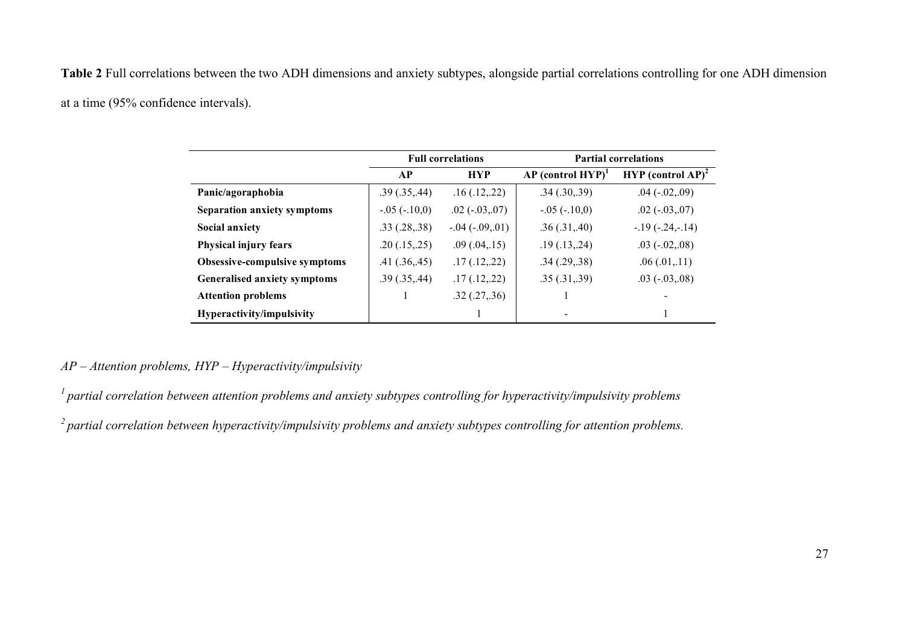**Table 2** Full correlations between the two ADH dimensions and anxiety subtypes, alongside partial correlations controlling for one ADH dimension

at a time (95% confidence intervals).

|                                     |                | <b>Full correlations</b> | <b>Partial correlations</b>     |                                 |  |
|-------------------------------------|----------------|--------------------------|---------------------------------|---------------------------------|--|
|                                     | AP             | <b>HYP</b>               | $AP$ (control HYP) <sup>1</sup> | $HYP$ (control AP) <sup>2</sup> |  |
| Panic/agoraphobia                   | .39(.35, .44)  | .16(.12,.22)             | .34(.30,.39)                    | $.04$ ( $-.02, .09$ )           |  |
| Separation anxiety symptoms         | $-.05(-.10,0)$ | $.02(-0.03, 0.07)$       | $-.05(-.10,0)$                  | $.02(-.03, .07)$                |  |
| <b>Social anxiety</b>               | .33(.28, .38)  | $-0.04(-0.09, 01)$       | .36(.31, .40)                   | $-19(-.24,-.14)$                |  |
| Physical injury fears               | .20(.15,.25)   | .09(.04,.15)             | .19(.13,.24)                    | $.03(-02,08)$                   |  |
| Obsessive-compulsive symptoms       | .41(.36, .45)  | .17(.12,.22)             | .34(.29,.38)                    | .06(0.01, 11)                   |  |
| <b>Generalised anxiety symptoms</b> | .39(.35, .44)  | .17(.12,.22)             | .35(.31, .39)                   | $.03(-0.03, 0.08)$              |  |
| <b>Attention problems</b>           |                | .32(.27, .36)            |                                 |                                 |  |
| Hyperactivity/impulsivity           |                |                          |                                 |                                 |  |

## *AP – Attention problems, HYP – Hyperactivity/impulsivity*

*1 partial correlation between attention problems and anxiety subtypes controlling for hyperactivity/impulsivity problems*

*2 partial correlation between hyperactivity/impulsivity problems and anxiety subtypes controlling for attention problems.*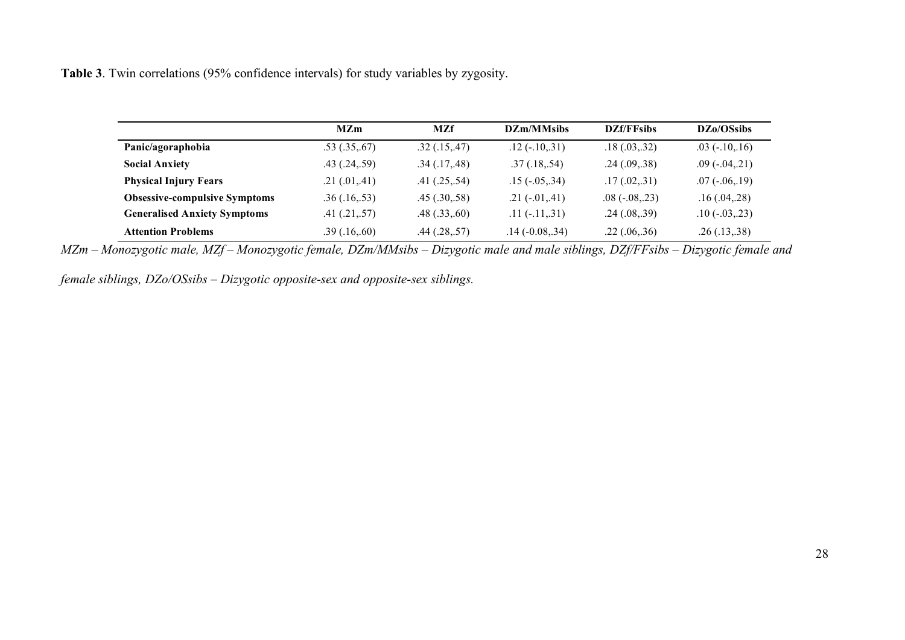**Table 3**. Twin correlations (95% confidence intervals) for study variables by zygosity.

|                                      | <b>MZm</b>         | <b>MZf</b>         | DZm/MMsibs            | <b>DZf/FFsibs</b> | DZ <sub>0</sub> /OSsibs |
|--------------------------------------|--------------------|--------------------|-----------------------|-------------------|-------------------------|
| Panic/agoraphobia                    | .53(.35,.67)       | .32(.15, .47)      | $.12$ ( $-.10, .31$ ) | .18(.03,.32)      | $.03(-.10, 16)$         |
| <b>Social Anxiety</b>                | $.43$ $(.24, .59)$ | .34(.17, .48)      | .37(.18,.54)          | .24(.09,.38)      | $.09(-.04,.21)$         |
| <b>Physical Injury Fears</b>         | .21(.01, .41)      | .41(.25,.54)       | $.15(-0.05, .34)$     | .17(.02,.31)      | $.07(-.06, 19)$         |
| <b>Obsessive-compulsive Symptoms</b> | .36(.16, .53)      | .45(.30,.58)       | $.21(-.01, .41)$      | $.08(-.08, .23)$  | .16(.04,.28)            |
| <b>Generalised Anxiety Symptoms</b>  | .41(.21,.57)       | .48(.33, .60)      | $.11(-.11, .31)$      | .24(.08,.39)      | $.10(-03, .23)$         |
| <b>Attention Problems</b>            | .39(.16, .60)      | $.44$ $(.28, .57)$ | $.14(-0.08, .34)$     | .22(.06,.36)      | .26(.13,.38)            |

*MZm – Monozygotic male, MZf – Monozygotic female, DZm/MMsibs – Dizygotic male and male siblings, DZf/FFsibs – Dizygotic female and* 

*female siblings, DZo/OSsibs – Dizygotic opposite-sex and opposite-sex siblings.*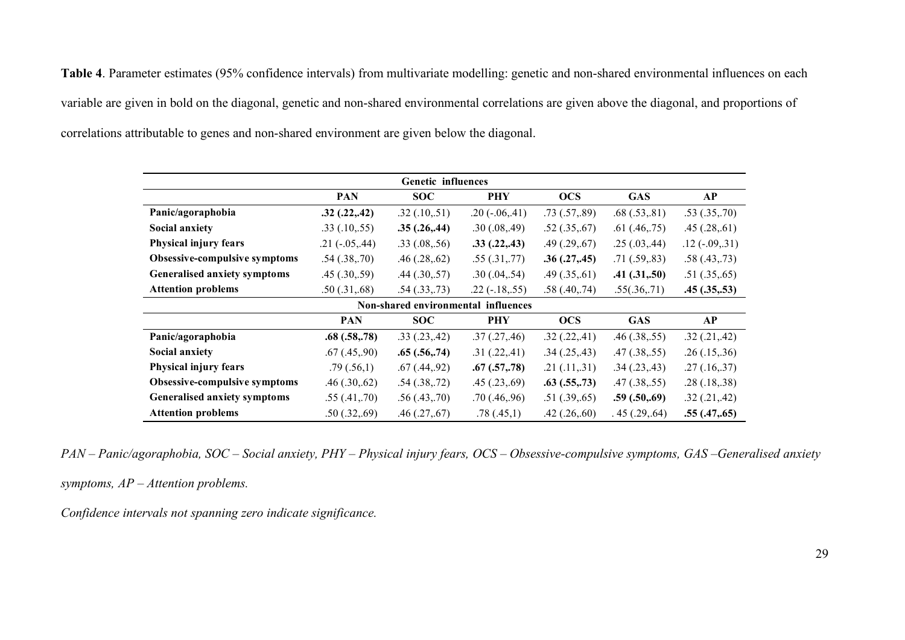**Table 4**. Parameter estimates (95% confidence intervals) from multivariate modelling: genetic and non-shared environmental influences on each variable are given in bold on the diagonal, genetic and non-shared environmental correlations are given above the diagonal, and proportions of correlations attributable to genes and non-shared environment are given below the diagonal.

| Genetic influences                  |                    |                    |                       |                    |                    |                    |  |  |
|-------------------------------------|--------------------|--------------------|-----------------------|--------------------|--------------------|--------------------|--|--|
|                                     | <b>PAN</b>         | <b>SOC</b>         | <b>PHY</b>            | <b>OCS</b>         | <b>GAS</b>         | AP                 |  |  |
| Panic/agoraphobia                   | .32(.22,.42)       | .32(.10,.51)       | $.20$ ( $-.06, .41$ ) | .73(.57, .89)      | .68(.53, .81)      | .53(.35,.70)       |  |  |
| <b>Social anxiety</b>               | $.33$ $(.10, .55)$ | .35(.26, .44)      | .30(.08, .49)         | .52(.35, .67)      | .61(0.46,0.75)     | .45(.28, .61)      |  |  |
| Physical injury fears               | $.21(-.05, .44)$   | .33(.08, .56)      | .33(.22, .43)         | .49(.29, .67)      | .25(.03, .44)      | $.12(-.09,.31)$    |  |  |
| Obsessive-compulsive symptoms       | .54(.38,.70)       | .46(.28, .62)      | .55(.31, .77)         | .36(.27, .45)      | .71(.59,.83)       | .58(.43,.73)       |  |  |
| Generalised anxiety symptoms        | .45(.30,.59)       | $.44$ $(.30, .57)$ | .30(.04,.54)          | $.49$ $(.35, .61)$ | .41(.31, .50)      | .51(.35, .65)      |  |  |
| <b>Attention problems</b>           | .50(.31, .68)      | .54(.33, .73)      | $.22$ ( $-.18, .55$ ) | .58(.40, .74)      | .55(.36,.71)       | .45(.35,.53)       |  |  |
| Non-shared environmental influences |                    |                    |                       |                    |                    |                    |  |  |
|                                     | <b>PAN</b>         | <b>SOC</b>         | <b>PHY</b>            | <b>OCS</b>         | <b>GAS</b>         | AP                 |  |  |
| Panic/agoraphobia                   | .68(.58, .78)      | .33(.23,.42)       | .37(.27, .46)         | .32(.22,.41)       | $.46$ $(.38, .55)$ | $.32$ $(.21, .42)$ |  |  |
| <b>Social anxiety</b>               | .67(0.45,90)       | .65(.56, .74)      | .31(.22,.41)          | .34(.25, .43)      | $.47$ $(.38, .55)$ | .26(.15, .36)      |  |  |
| Physical injury fears               | .79(.56,1)         | .67(0.44, 92)      | .67(.57,.78)          | .21(.11,.31)       | .34(.23, .43)      | .27(.16,.37)       |  |  |
| Obsessive-compulsive symptoms       | .46(.30,.62)       | .54(.38, .72)      | .45(.23, .69)         | .63(.55, .73)      | $.47$ $(.38, .55)$ | .28(.18, .38)      |  |  |
| Generalised anxiety symptoms        | .55(.41, .70)      | .56(.43, .70)      | .70(0.46,96)          | .51(.39, .65)      | .59(.50, .69)      | .32(.21, .42)      |  |  |
| <b>Attention problems</b>           | .50(.32,.69)       | $.46$ $(.27, .67)$ | .78(.45,1)            | $.42$ $(.26, .60)$ | .45(.29,.64)       | .55(0.47,0.65)     |  |  |

*PAN – Panic/agoraphobia, SOC – Social anxiety, PHY – Physical injury fears, OCS – Obsessive-compulsive symptoms, GAS –Generalised anxiety* 

*symptoms, AP – Attention problems.* 

*Confidence intervals not spanning zero indicate significance.*